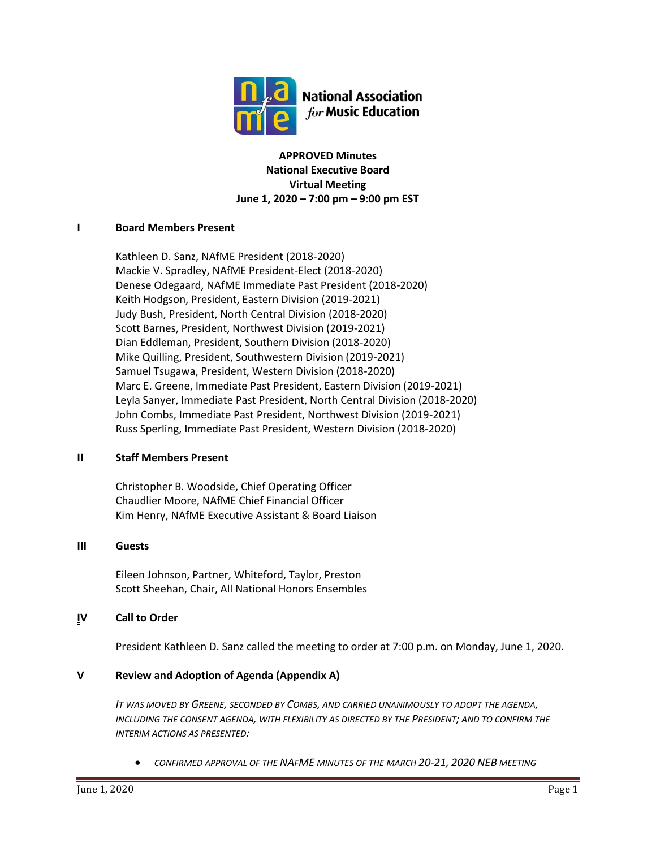

**APPROVED Minutes National Executive Board Virtual Meeting June 1, 2020 – 7:00 pm – 9:00 pm EST**

# **I Board Members Present**

Kathleen D. Sanz, NAfME President (2018-2020) Mackie V. Spradley, NAfME President-Elect (2018-2020) Denese Odegaard, NAfME Immediate Past President (2018-2020) Keith Hodgson, President, Eastern Division (2019-2021) Judy Bush, President, North Central Division (2018-2020) Scott Barnes, President, Northwest Division (2019-2021) Dian Eddleman, President, Southern Division (2018-2020) Mike Quilling, President, Southwestern Division (2019-2021) Samuel Tsugawa, President, Western Division (2018-2020) Marc E. Greene, Immediate Past President, Eastern Division (2019-2021) Leyla Sanyer, Immediate Past President, North Central Division (2018-2020) John Combs, Immediate Past President, Northwest Division (2019-2021) Russ Sperling, Immediate Past President, Western Division (2018-2020)

#### **II Staff Members Present**

Christopher B. Woodside, Chief Operating Officer Chaudlier Moore, NAfME Chief Financial Officer Kim Henry, NAfME Executive Assistant & Board Liaison

#### **III Guests**

Eileen Johnson, Partner, Whiteford, Taylor, Preston Scott Sheehan, Chair, All National Honors Ensembles

#### **IV Call to Order**

President Kathleen D. Sanz called the meeting to order at 7:00 p.m. on Monday, June 1, 2020.

#### **V Review and Adoption of Agenda (Appendix A)**

*IT WAS MOVED BY GREENE, SECONDED BY COMBS, AND CARRIED UNANIMOUSLY TO ADOPT THE AGENDA, INCLUDING THE CONSENT AGENDA, WITH FLEXIBILITY AS DIRECTED BY THE PRESIDENT; AND TO CONFIRM THE INTERIM ACTIONS AS PRESENTED:*

• *CONFIRMED APPROVAL OF THE NAFME MINUTES OF THE MARCH 20-21, 2020 NEB MEETING*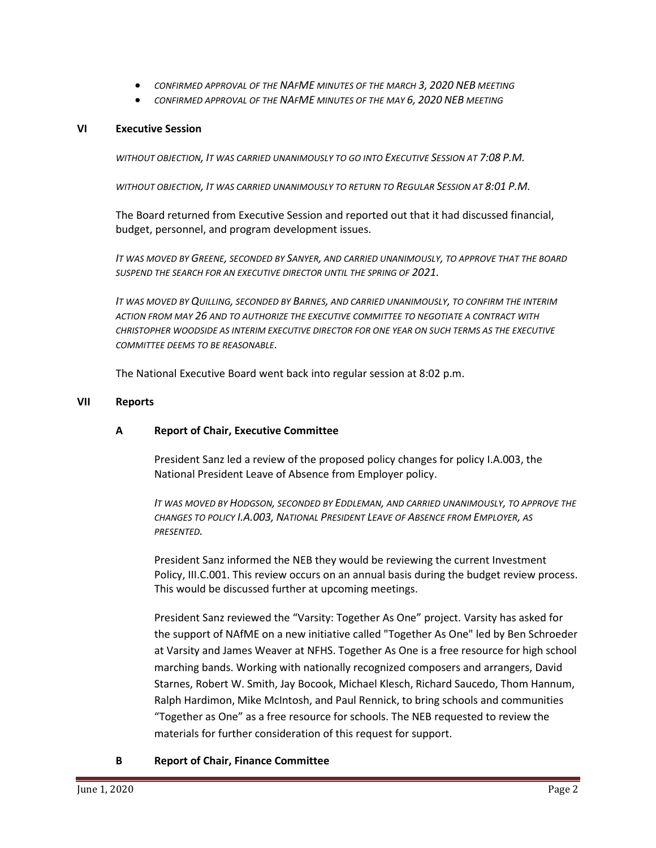- *CONFIRMED APPROVAL OF THE NAFME MINUTES OF THE MARCH 3, 2020 NEB MEETING*
- *CONFIRMED APPROVAL OF THE NAFME MINUTES OF THE MAY 6, 2020 NEB MEETING*

# **VI Executive Session**

*WITHOUT OBJECTION, IT WAS CARRIED UNANIMOUSLY TO GO INTO EXECUTIVE SESSION AT 7:08 P.M.*

*WITHOUT OBJECTION, IT WAS CARRIED UNANIMOUSLY TO RETURN TO REGULAR SESSION AT 8:01 P.M.*

The Board returned from Executive Session and reported out that it had discussed financial, budget, personnel, and program development issues.

*IT WAS MOVED BY GREENE, SECONDED BY SANYER, AND CARRIED UNANIMOUSLY, TO APPROVE THAT THE BOARD*  **SUSPEND THE SEARCH FOR AN EXECUTIVE DIRECTOR UNTIL THE SPRING OF 2021.** 

*IT WAS MOVED BY QUILLING, SECONDED BY BARNES, AND CARRIED UNANIMOUSLY, TO CONFIRM THE INTERIM ACTION FROM MAY 26 AND TO AUTHORIZE THE EXECUTIVE COMMITTEE TO NEGOTIATE A CONTRACT WITH CHRISTOPHER WOODSIDE AS INTERIM EXECUTIVE DIRECTOR FOR ONE YEAR ON SUCH TERMS AS THE EXECUTIVE COMMITTEE DEEMS TO BE REASONABLE.*

The National Executive Board went back into regular session at 8:02 p.m.

#### **VII Reports**

# **A Report of Chair, Executive Committee**

President Sanz led a review of the proposed policy changes for policy I.A.003, the National President Leave of Absence from Employer policy.

*IT WAS MOVED BY HODGSON, SECONDED BY EDDLEMAN, AND CARRIED UNANIMOUSLY, TO APPROVE THE CHANGES TO POLICY I.A.003, NATIONAL PRESIDENT LEAVE OF ABSENCE FROM EMPLOYER, AS PRESENTED.*

President Sanz informed the NEB they would be reviewing the current Investment Policy, III.C.001. This review occurs on an annual basis during the budget review process. This would be discussed further at upcoming meetings.

President Sanz reviewed the "Varsity: Together As One" project. Varsity has asked for the support of NAfME on a new initiative called "Together As One" led by Ben Schroeder at Varsity and James Weaver at NFHS. Together As One is a free resource for high school marching bands. Working with nationally recognized composers and arrangers, David Starnes, Robert W. Smith, Jay Bocook, Michael Klesch, Richard Saucedo, Thom Hannum, Ralph Hardimon, Mike McIntosh, and Paul Rennick, to bring schools and communities "Together as One" as a free resource for schools. The NEB requested to review the materials for further consideration of this request for support.

# **B Report of Chair, Finance Committee**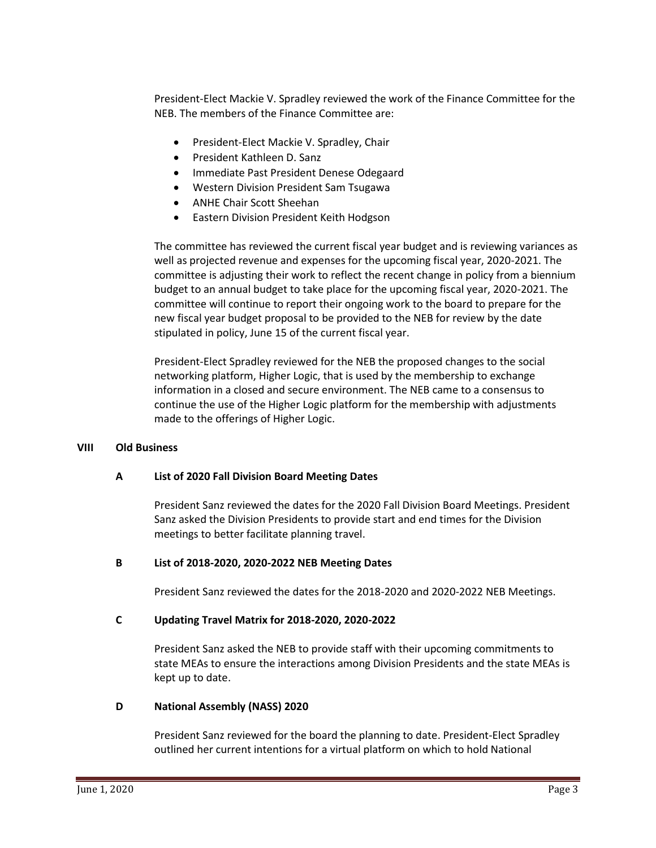President-Elect Mackie V. Spradley reviewed the work of the Finance Committee for the NEB. The members of the Finance Committee are:

- President-Elect Mackie V. Spradley, Chair
- President Kathleen D. Sanz
- Immediate Past President Denese Odegaard
- Western Division President Sam Tsugawa
- ANHE Chair Scott Sheehan
- Eastern Division President Keith Hodgson

The committee has reviewed the current fiscal year budget and is reviewing variances as well as projected revenue and expenses for the upcoming fiscal year, 2020-2021. The committee is adjusting their work to reflect the recent change in policy from a biennium budget to an annual budget to take place for the upcoming fiscal year, 2020-2021. The committee will continue to report their ongoing work to the board to prepare for the new fiscal year budget proposal to be provided to the NEB for review by the date stipulated in policy, June 15 of the current fiscal year.

President-Elect Spradley reviewed for the NEB the proposed changes to the social networking platform, Higher Logic, that is used by the membership to exchange information in a closed and secure environment. The NEB came to a consensus to continue the use of the Higher Logic platform for the membership with adjustments made to the offerings of Higher Logic.

# **VIII Old Business**

# **A List of 2020 Fall Division Board Meeting Dates**

President Sanz reviewed the dates for the 2020 Fall Division Board Meetings. President Sanz asked the Division Presidents to provide start and end times for the Division meetings to better facilitate planning travel.

# **B List of 2018-2020, 2020-2022 NEB Meeting Dates**

President Sanz reviewed the dates for the 2018-2020 and 2020-2022 NEB Meetings.

# **C Updating Travel Matrix for 2018-2020, 2020-2022**

President Sanz asked the NEB to provide staff with their upcoming commitments to state MEAs to ensure the interactions among Division Presidents and the state MEAs is kept up to date.

# **D National Assembly (NASS) 2020**

President Sanz reviewed for the board the planning to date. President-Elect Spradley outlined her current intentions for a virtual platform on which to hold National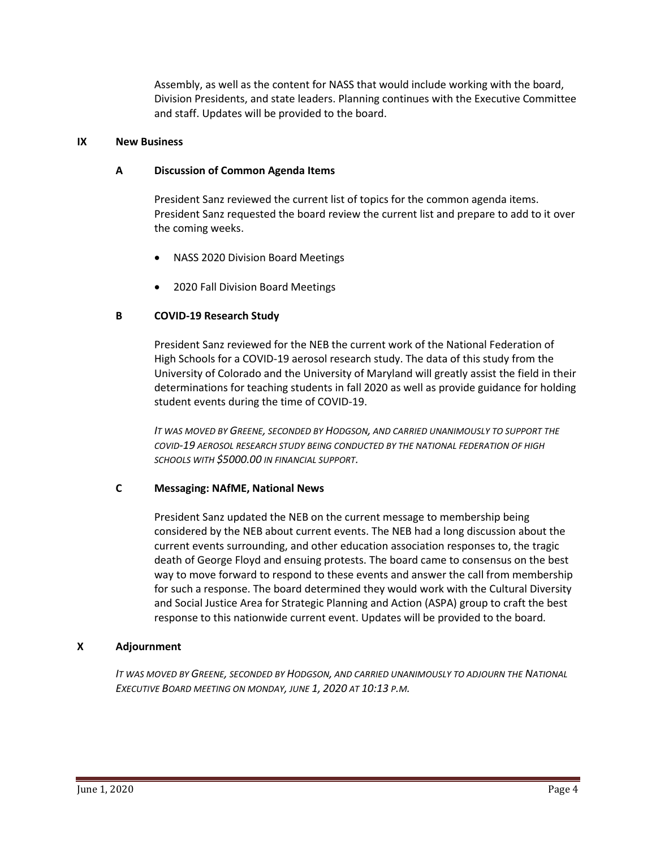Assembly, as well as the content for NASS that would include working with the board, Division Presidents, and state leaders. Planning continues with the Executive Committee and staff. Updates will be provided to the board.

### **IX New Business**

### **A Discussion of Common Agenda Items**

President Sanz reviewed the current list of topics for the common agenda items. President Sanz requested the board review the current list and prepare to add to it over the coming weeks.

- NASS 2020 Division Board Meetings
- 2020 Fall Division Board Meetings

# **B COVID-19 Research Study**

President Sanz reviewed for the NEB the current work of the National Federation of High Schools for a COVID-19 aerosol research study. The data of this study from the University of Colorado and the University of Maryland will greatly assist the field in their determinations for teaching students in fall 2020 as well as provide guidance for holding student events during the time of COVID-19.

*IT WAS MOVED BY GREENE, SECONDED BY HODGSON, AND CARRIED UNANIMOUSLY TO SUPPORT THE COVID-19 AEROSOL RESEARCH STUDY BEING CONDUCTED BY THE NATIONAL FEDERATION OF HIGH SCHOOLS WITH \$5000.00 IN FINANCIAL SUPPORT.*

# **C Messaging: NAfME, National News**

President Sanz updated the NEB on the current message to membership being considered by the NEB about current events. The NEB had a long discussion about the current events surrounding, and other education association responses to, the tragic death of George Floyd and ensuing protests. The board came to consensus on the best way to move forward to respond to these events and answer the call from membership for such a response. The board determined they would work with the Cultural Diversity and Social Justice Area for Strategic Planning and Action (ASPA) group to craft the best response to this nationwide current event. Updates will be provided to the board.

# **X Adjournment**

*IT WAS MOVED BY GREENE, SECONDED BY HODGSON, AND CARRIED UNANIMOUSLY TO ADJOURN THE NATIONAL EXECUTIVE BOARD MEETING ON MONDAY, JUNE 1, 2020 AT 10:13 P.M.*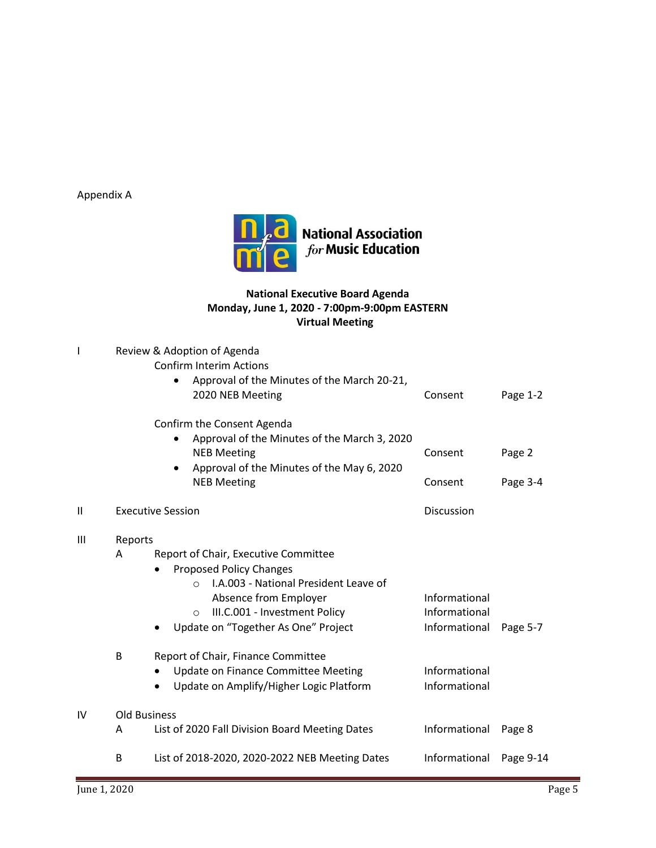Appendix A



# **National Executive Board Agenda Monday, June 1, 2020 - 7:00pm-9:00pm EASTERN Virtual Meeting**

|                |                     | Review & Adoption of Agenda<br><b>Confirm Interim Actions</b><br>Approval of the Minutes of the March 20-21,<br>2020 NEB Meeting<br>Confirm the Consent Agenda                                                                            |                                                 | Page 1-2  |  |  |
|----------------|---------------------|-------------------------------------------------------------------------------------------------------------------------------------------------------------------------------------------------------------------------------------------|-------------------------------------------------|-----------|--|--|
|                |                     | Approval of the Minutes of the March 3, 2020<br><b>NEB Meeting</b><br>Approval of the Minutes of the May 6, 2020<br>$\bullet$                                                                                                             | Consent                                         | Page 2    |  |  |
|                |                     | <b>NEB Meeting</b>                                                                                                                                                                                                                        | Consent                                         | Page 3-4  |  |  |
| $\mathbf{I}$   |                     | <b>Executive Session</b>                                                                                                                                                                                                                  | Discussion                                      |           |  |  |
| $\mathbf{III}$ | Reports<br>A        | Report of Chair, Executive Committee<br><b>Proposed Policy Changes</b><br>I.A.003 - National President Leave of<br>$\bigcap$<br>Absence from Employer<br>III.C.001 - Investment Policy<br>$\Omega$<br>Update on "Together As One" Project | Informational<br>Informational<br>Informational | Page 5-7  |  |  |
|                | B                   | Report of Chair, Finance Committee<br>Update on Finance Committee Meeting<br>Update on Amplify/Higher Logic Platform                                                                                                                      | Informational<br>Informational                  |           |  |  |
| IV             | <b>Old Business</b> |                                                                                                                                                                                                                                           |                                                 |           |  |  |
|                | A                   | List of 2020 Fall Division Board Meeting Dates                                                                                                                                                                                            | Informational                                   | Page 8    |  |  |
|                | B                   | List of 2018-2020, 2020-2022 NEB Meeting Dates                                                                                                                                                                                            | Informational                                   | Page 9-14 |  |  |